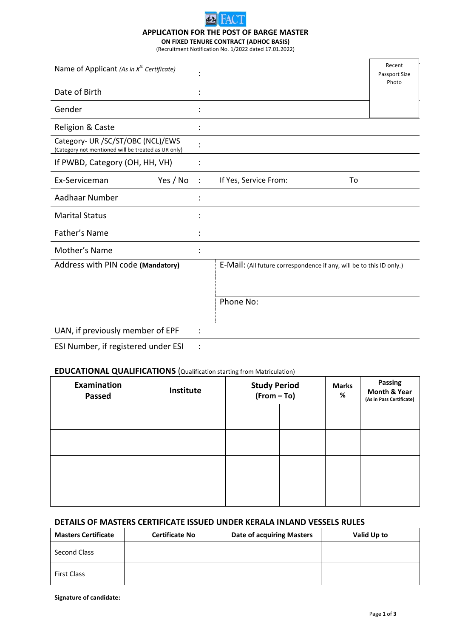

## **APPLICATION FOR THE POST OF BARGE MASTER**

**ON FIXED TENURE CONTRACT (ADHOC BASIS)** (Recruitment Notification No. 1/2022 dated 17.01.2022)

| Name of Applicant (As in $x^{th}$ Certificate)                                           |                |                                                                      | Recent<br>Passport Size<br>Photo |
|------------------------------------------------------------------------------------------|----------------|----------------------------------------------------------------------|----------------------------------|
| Date of Birth                                                                            |                |                                                                      |                                  |
| Gender                                                                                   |                |                                                                      |                                  |
| Religion & Caste                                                                         |                |                                                                      |                                  |
| Category- UR /SC/ST/OBC (NCL)/EWS<br>(Category not mentioned will be treated as UR only) |                |                                                                      |                                  |
| If PWBD, Category (OH, HH, VH)                                                           |                |                                                                      |                                  |
| Yes / No<br>Ex-Serviceman                                                                |                | If Yes, Service From:<br>To                                          |                                  |
| Aadhaar Number                                                                           |                |                                                                      |                                  |
| <b>Marital Status</b>                                                                    |                |                                                                      |                                  |
| Father's Name                                                                            |                |                                                                      |                                  |
| Mother's Name                                                                            |                |                                                                      |                                  |
| Address with PIN code (Mandatory)                                                        |                | E-Mail: (All future correspondence if any, will be to this ID only.) |                                  |
|                                                                                          |                |                                                                      |                                  |
|                                                                                          |                | Phone No:                                                            |                                  |
| UAN, if previously member of EPF                                                         | $\ddot{\cdot}$ |                                                                      |                                  |
| ESI Number, if registered under ESI                                                      | $\ddot{\cdot}$ |                                                                      |                                  |

### **EDUCATIONAL QUALIFICATIONS** (Qualification starting from Matriculation)

| <b>Examination</b><br><b>Passed</b> | Institute | <b>Study Period</b><br>$(From - To)$ |  | <b>Marks</b><br>% | Passing<br><b>Month &amp; Year</b><br>(As in Pass Certificate) |
|-------------------------------------|-----------|--------------------------------------|--|-------------------|----------------------------------------------------------------|
|                                     |           |                                      |  |                   |                                                                |
|                                     |           |                                      |  |                   |                                                                |
|                                     |           |                                      |  |                   |                                                                |
|                                     |           |                                      |  |                   |                                                                |

# **DETAILS OF MASTERS CERTIFICATE ISSUED UNDER KERALA INLAND VESSELS RULES**

| <b>Masters Certificate</b> | <b>Certificate No</b> | <b>Date of acquiring Masters</b> | Valid Up to |
|----------------------------|-----------------------|----------------------------------|-------------|
| Second Class               |                       |                                  |             |
| <b>First Class</b>         |                       |                                  |             |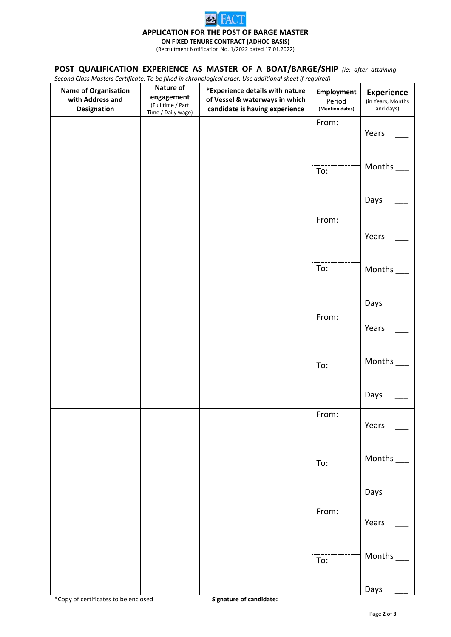

### **APPLICATION FOR THE POST OF BARGE MASTER**

**ON FIXED TENURE CONTRACT (ADHOC BASIS)**

(Recruitment Notification No. 1/2022 dated 17.01.2022)

## **POST QUALIFICATION EXPERIENCE AS MASTER OF A BOAT/BARGE/SHIP** *(ie; after attaining*

*Second Class Masters Certificate. To be filled in chronological order. Use additional sheet if required)*

|                                                                |                                                                    | become class masters certificate. To be fined in emonological oracl. Ose additional sheet if required, |                                                |                                                     |
|----------------------------------------------------------------|--------------------------------------------------------------------|--------------------------------------------------------------------------------------------------------|------------------------------------------------|-----------------------------------------------------|
| <b>Name of Organisation</b><br>with Address and<br>Designation | Nature of<br>engagement<br>(Full time / Part<br>Time / Daily wage) | *Experience details with nature<br>of Vessel & waterways in which<br>candidate is having experience    | <b>Employment</b><br>Period<br>(Mention dates) | <b>Experience</b><br>(in Years, Months<br>and days) |
|                                                                |                                                                    |                                                                                                        | From:                                          | Years                                               |
|                                                                |                                                                    |                                                                                                        | To:                                            | Months                                              |
|                                                                |                                                                    |                                                                                                        |                                                | Days                                                |
|                                                                |                                                                    |                                                                                                        | From:                                          | Years                                               |
|                                                                |                                                                    |                                                                                                        | To:                                            | Months                                              |
|                                                                |                                                                    |                                                                                                        |                                                | Days                                                |
|                                                                |                                                                    |                                                                                                        | From:                                          | Years                                               |
|                                                                |                                                                    |                                                                                                        | To:                                            | Months                                              |
|                                                                |                                                                    |                                                                                                        |                                                | Days                                                |
|                                                                |                                                                    |                                                                                                        | From:                                          | Years                                               |
|                                                                |                                                                    |                                                                                                        | To:                                            | Months                                              |
|                                                                |                                                                    |                                                                                                        |                                                | Days                                                |
|                                                                |                                                                    |                                                                                                        | From:                                          | Years                                               |
|                                                                |                                                                    |                                                                                                        | To:                                            | Months                                              |
|                                                                |                                                                    |                                                                                                        |                                                | Days                                                |

\*Copy of certificates to be enclosed **Signature of candidate:**